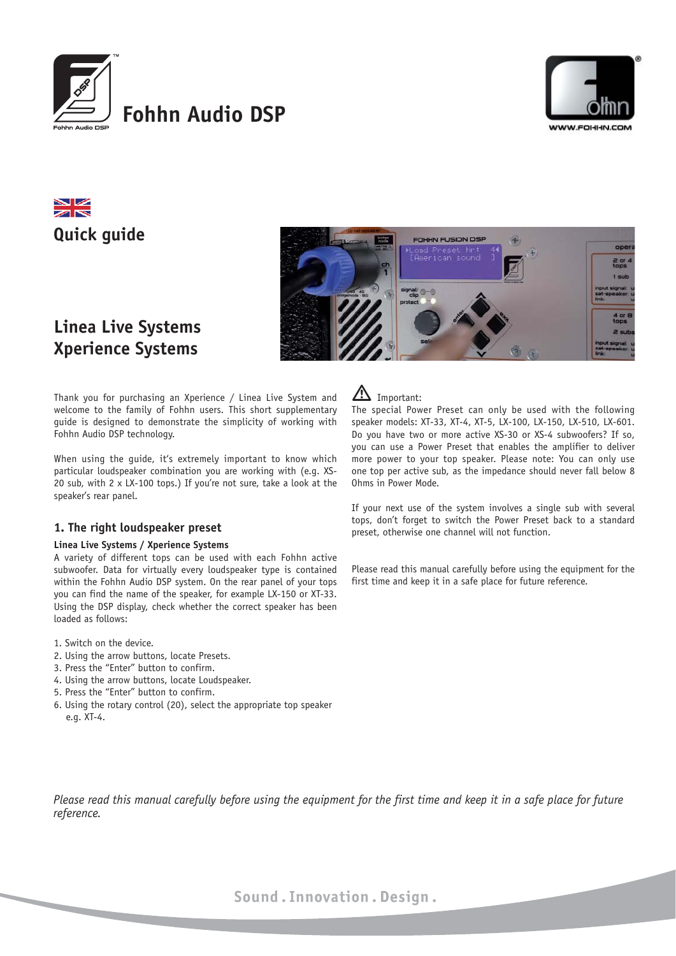

# **Fohhn Audio DSP**



# ZN **Quick guide**



# **Linea Live Systems Xperience Systems**

Thank you for purchasing an Xperience / Linea Live System and welcome to the family of Fohhn users. This short supplementary guide is designed to demonstrate the simplicity of working with Fohhn Audio DSP technology.

When using the guide, it's extremely important to know which particular loudspeaker combination you are working with (e.g. XS-20 sub, with 2 x LX-100 tops.) If you're not sure, take a look at the speaker's rear panel.

### **1. The right loudspeaker preset**

#### **Linea Live Systems / Xperience Systems**

A variety of different tops can be used with each Fohhn active subwoofer. Data for virtually every loudspeaker type is contained within the Fohhn Audio DSP system. On the rear panel of your tops you can find the name of the speaker, for example LX-150 or XT-33. Using the DSP display, check whether the correct speaker has been loaded as follows:

- 1. Switch on the device.
- 2. Using the arrow buttons, locate Presets.
- 3. Press the "Enter" button to confirm.
- 4. Using the arrow buttons, locate Loudspeaker.
- 5. Press the "Enter" button to confirm.
- 6. Using the rotary control (20), select the appropriate top speaker e.g. XT-4.

# $\sum$  Important:

The special Power Preset can only be used with the following speaker models: XT-33, XT-4, XT-5, LX-100, LX-150, LX-510, LX-601. Do you have two or more active XS-30 or XS-4 subwoofers? If so, you can use a Power Preset that enables the amplifier to deliver more power to your top speaker. Please note: You can only use one top per active sub, as the impedance should never fall below 8 Ohms in Power Mode.

If your next use of the system involves a single sub with several tops, don't forget to switch the Power Preset back to a standard preset, otherwise one channel will not function.

Please read this manual carefully before using the equipment for the first time and keep it in a safe place for future reference.

*Please read this manual carefully before using the equipment for the first time and keep it in a safe place for future reference.*

Sound. Innovation. Design.